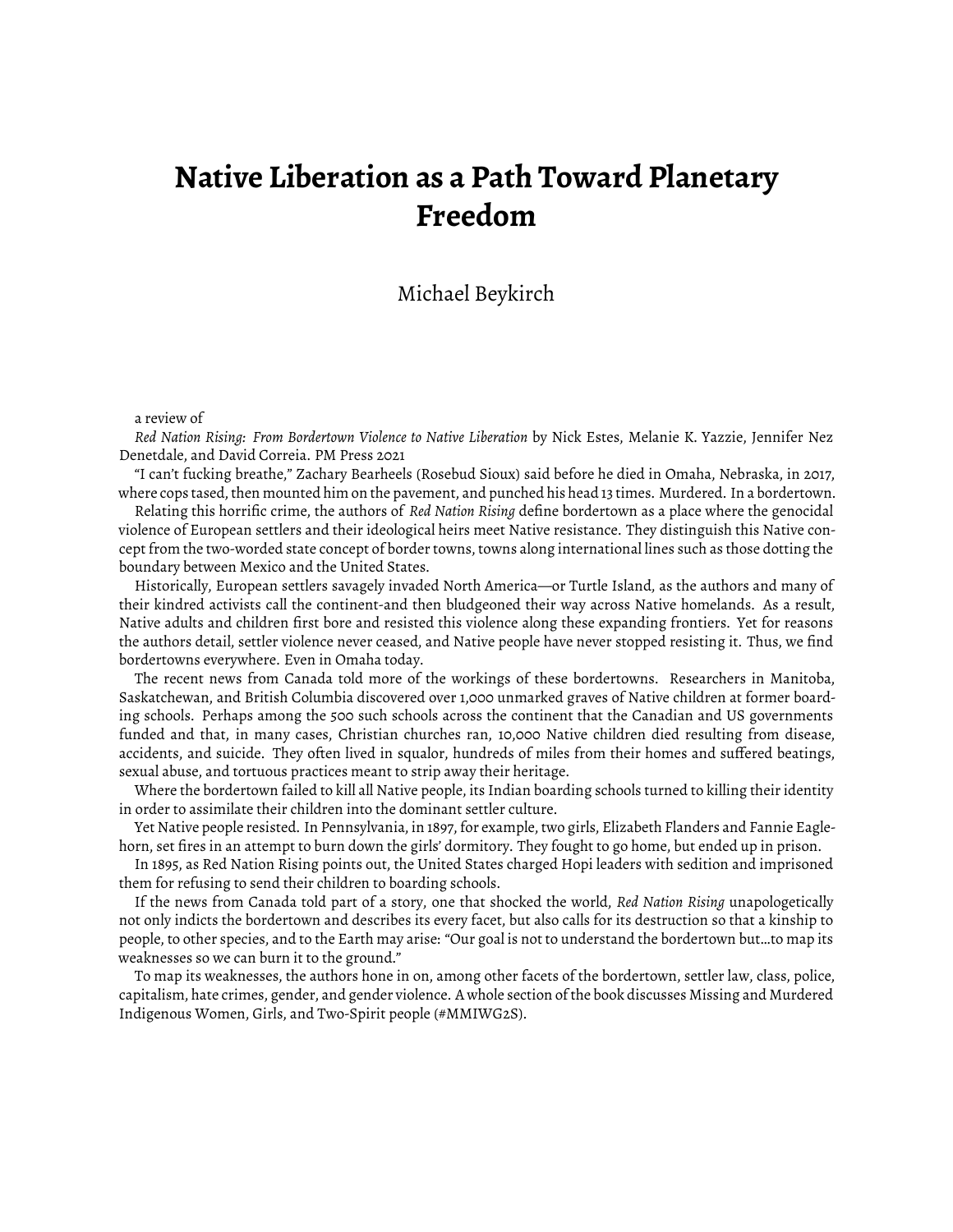## **Native Liberation as a Path Toward Planetary Freedom**

## Michael Beykirch

## a review of

*Red Nation Rising: From Bordertown Violence to Native Liberation* by Nick Estes, Melanie K. Yazzie, Jennifer Nez Denetdale, and David Correia. PM Press 2021

"I can't fucking breathe," Zachary Bearheels (Rosebud Sioux) said before he died in Omaha, Nebraska, in 2017, where cops tased, then mounted him on the pavement, and punched his head 13 times. Murdered. In a bordertown.

Relating this horrific crime, the authors of *Red Nation Rising* define bordertown as a place where the genocidal violence of European settlers and their ideological heirs meet Native resistance. They distinguish this Native concept from the two-worded state concept of border towns, towns along international lines such as those dotting the boundary between Mexico and the United States.

Historically, European settlers savagely invaded North America—or Turtle Island, as the authors and many of their kindred activists call the continent-and then bludgeoned their way across Native homelands. As a result, Native adults and children first bore and resisted this violence along these expanding frontiers. Yet for reasons the authors detail, settler violence never ceased, and Native people have never stopped resisting it. Thus, we find bordertowns everywhere. Even in Omaha today.

The recent news from Canada told more of the workings of these bordertowns. Researchers in Manitoba, Saskatchewan, and British Columbia discovered over 1,000 unmarked graves of Native children at former boarding schools. Perhaps among the 500 such schools across the continent that the Canadian and US governments funded and that, in many cases, Christian churches ran, 10,000 Native children died resulting from disease, accidents, and suicide. They often lived in squalor, hundreds of miles from their homes and suffered beatings, sexual abuse, and tortuous practices meant to strip away their heritage.

Where the bordertown failed to kill all Native people, its Indian boarding schools turned to killing their identity in order to assimilate their children into the dominant settler culture.

Yet Native people resisted. In Pennsylvania, in 1897, for example, two girls, Elizabeth Flanders and Fannie Eaglehorn, set fires in an attempt to burn down the girls' dormitory. They fought to go home, but ended up in prison.

In 1895, as Red Nation Rising points out, the United States charged Hopi leaders with sedition and imprisoned them for refusing to send their children to boarding schools.

If the news from Canada told part of a story, one that shocked the world, *Red Nation Rising* unapologetically not only indicts the bordertown and describes its every facet, but also calls for its destruction so that a kinship to people, to other species, and to the Earth may arise: "Our goal is not to understand the bordertown but…to map its weaknesses so we can burn it to the ground."

To map its weaknesses, the authors hone in on, among other facets of the bordertown, settler law, class, police, capitalism, hate crimes, gender, and gender violence. A whole section of the book discusses Missing and Murdered Indigenous Women, Girls, and Two-Spirit people (#MMIWG2S).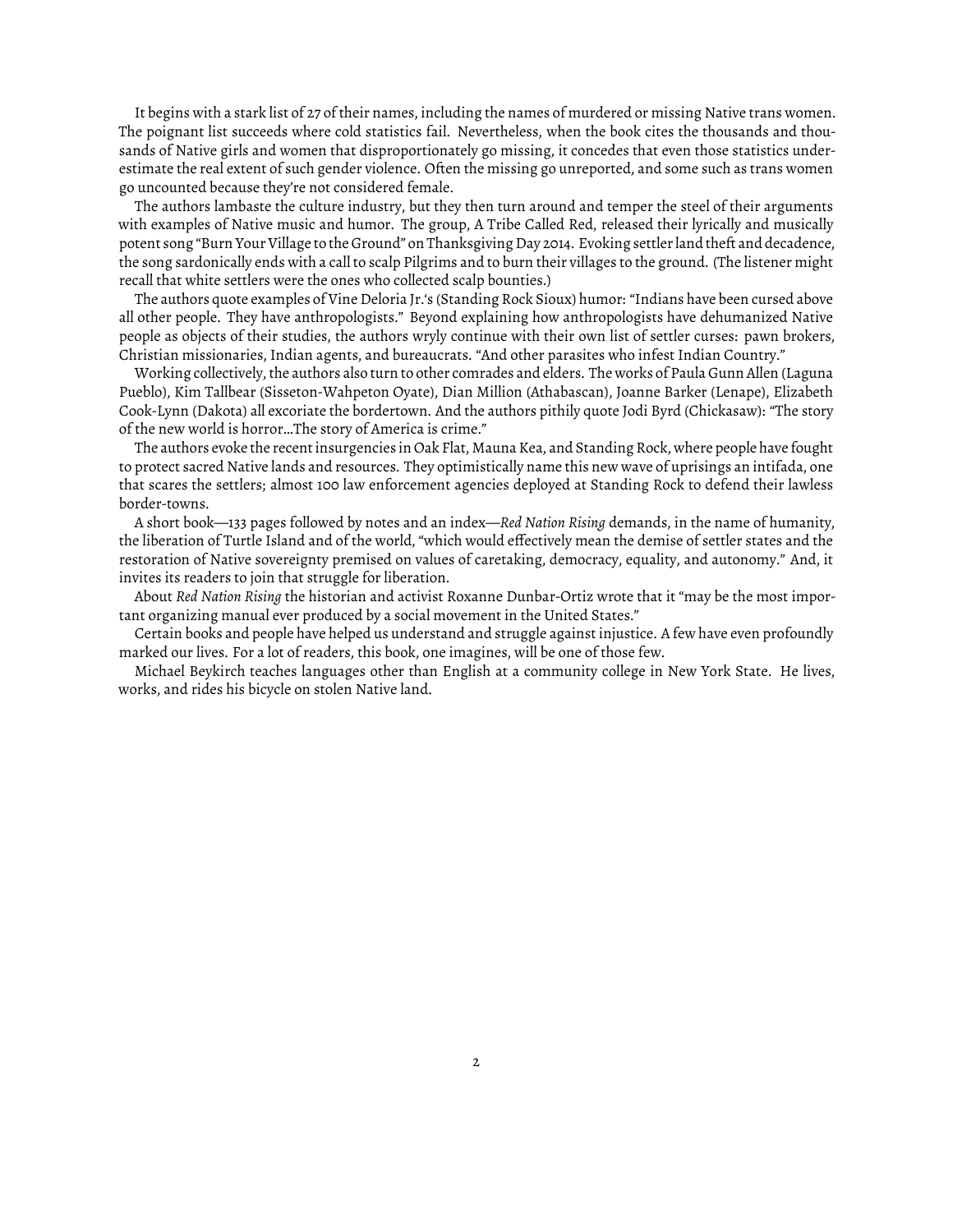It begins with a stark list of 27 of their names, including the names of murdered or missing Native trans women. The poignant list succeeds where cold statistics fail. Nevertheless, when the book cites the thousands and thousands of Native girls and women that disproportionately go missing, it concedes that even those statistics underestimate the real extent of such gender violence. Often the missing go unreported, and some such as trans women go uncounted because they're not considered female.

The authors lambaste the culture industry, but they then turn around and temper the steel of their arguments with examples of Native music and humor. The group, A Tribe Called Red, released their lyrically and musically potent song "Burn Your Village to the Ground" on Thanksgiving Day 2014. Evoking settler land theft and decadence, the song sardonically ends with a call to scalp Pilgrims and to burn their villages to the ground. (The listener might recall that white settlers were the ones who collected scalp bounties.)

The authors quote examples of Vine Deloria Jr.'s (Standing Rock Sioux) humor: "Indians have been cursed above all other people. They have anthropologists." Beyond explaining how anthropologists have dehumanized Native people as objects of their studies, the authors wryly continue with their own list of settler curses: pawn brokers, Christian missionaries, Indian agents, and bureaucrats. "And other parasites who infest Indian Country."

Working collectively, the authors also turn to other comrades and elders. The works of Paula Gunn Allen (Laguna Pueblo), Kim Tallbear (Sisseton-Wahpeton Oyate), Dian Million (Athabascan), Joanne Barker (Lenape), Elizabeth Cook-Lynn (Dakota) all excoriate the bordertown. And the authors pithily quote Jodi Byrd (Chickasaw): "The story of the new world is horror…The story of America is crime."

The authors evoke the recent insurgencies in Oak Flat, Mauna Kea, and Standing Rock, where people have fought to protect sacred Native lands and resources. They optimistically name this new wave of uprisings an intifada, one that scares the settlers; almost 100 law enforcement agencies deployed at Standing Rock to defend their lawless border-towns.

A short book—133 pages followed by notes and an index—*Red Nation Rising* demands, in the name of humanity, the liberation of Turtle Island and of the world, "which would effectively mean the demise of settler states and the restoration of Native sovereignty premised on values of caretaking, democracy, equality, and autonomy." And, it invites its readers to join that struggle for liberation.

About *Red Nation Rising* the historian and activist Roxanne Dunbar-Ortiz wrote that it "may be the most important organizing manual ever produced by a social movement in the United States."

Certain books and people have helped us understand and struggle against injustice. A few have even profoundly marked our lives. For a lot of readers, this book, one imagines, will be one of those few.

Michael Beykirch teaches languages other than English at a community college in New York State. He lives, works, and rides his bicycle on stolen Native land.